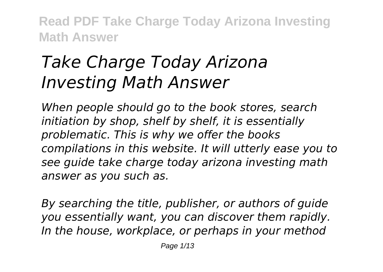## *Take Charge Today Arizona Investing Math Answer*

*When people should go to the book stores, search initiation by shop, shelf by shelf, it is essentially problematic. This is why we offer the books compilations in this website. It will utterly ease you to see guide take charge today arizona investing math answer as you such as.*

*By searching the title, publisher, or authors of guide you essentially want, you can discover them rapidly. In the house, workplace, or perhaps in your method*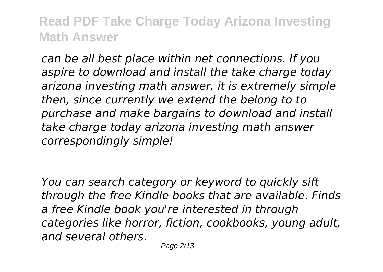*can be all best place within net connections. If you aspire to download and install the take charge today arizona investing math answer, it is extremely simple then, since currently we extend the belong to to purchase and make bargains to download and install take charge today arizona investing math answer correspondingly simple!*

*You can search category or keyword to quickly sift through the free Kindle books that are available. Finds a free Kindle book you're interested in through categories like horror, fiction, cookbooks, young adult, and several others.*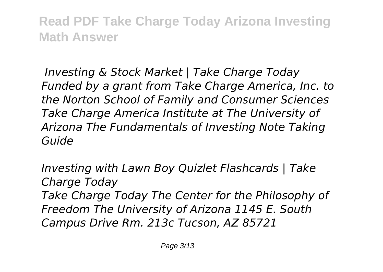*Investing & Stock Market | Take Charge Today Funded by a grant from Take Charge America, Inc. to the Norton School of Family and Consumer Sciences Take Charge America Institute at The University of Arizona The Fundamentals of Investing Note Taking Guide*

*Investing with Lawn Boy Quizlet Flashcards | Take Charge Today Take Charge Today The Center for the Philosophy of Freedom The University of Arizona 1145 E. South Campus Drive Rm. 213c Tucson, AZ 85721*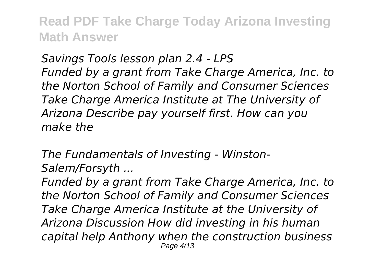*Savings Tools lesson plan 2.4 - LPS Funded by a grant from Take Charge America, Inc. to the Norton School of Family and Consumer Sciences Take Charge America Institute at The University of Arizona Describe pay yourself first. How can you make the*

*The Fundamentals of Investing - Winston-Salem/Forsyth ...*

*Funded by a grant from Take Charge America, Inc. to the Norton School of Family and Consumer Sciences Take Charge America Institute at the University of Arizona Discussion How did investing in his human capital help Anthony when the construction business* Page 4/13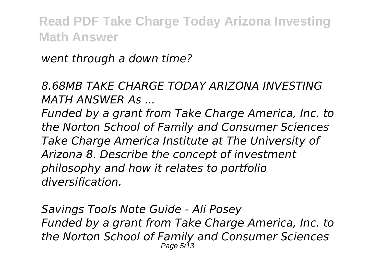*went through a down time?*

*8.68MB TAKE CHARGE TODAY ARIZONA INVESTING MATH ANSWER As ...*

*Funded by a grant from Take Charge America, Inc. to the Norton School of Family and Consumer Sciences Take Charge America Institute at The University of Arizona 8. Describe the concept of investment philosophy and how it relates to portfolio diversification.*

*Savings Tools Note Guide - Ali Posey Funded by a grant from Take Charge America, Inc. to the Norton School of Family and Consumer Sciences* Page 5/13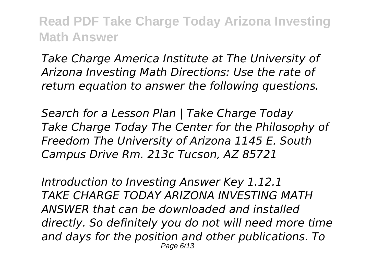*Take Charge America Institute at The University of Arizona Investing Math Directions: Use the rate of return equation to answer the following questions.*

*Search for a Lesson Plan | Take Charge Today Take Charge Today The Center for the Philosophy of Freedom The University of Arizona 1145 E. South Campus Drive Rm. 213c Tucson, AZ 85721*

*Introduction to Investing Answer Key 1.12.1 TAKE CHARGE TODAY ARIZONA INVESTING MATH ANSWER that can be downloaded and installed directly. So definitely you do not will need more time and days for the position and other publications. To* Page 6/13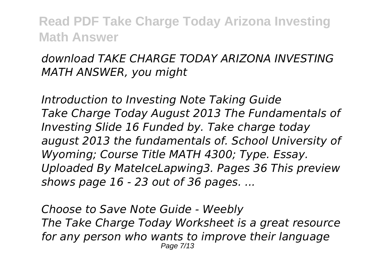## *download TAKE CHARGE TODAY ARIZONA INVESTING MATH ANSWER, you might*

*Introduction to Investing Note Taking Guide Take Charge Today August 2013 The Fundamentals of Investing Slide 16 Funded by. Take charge today august 2013 the fundamentals of. School University of Wyoming; Course Title MATH 4300; Type. Essay. Uploaded By MateIceLapwing3. Pages 36 This preview shows page 16 - 23 out of 36 pages. ...*

*Choose to Save Note Guide - Weebly The Take Charge Today Worksheet is a great resource for any person who wants to improve their language* Page 7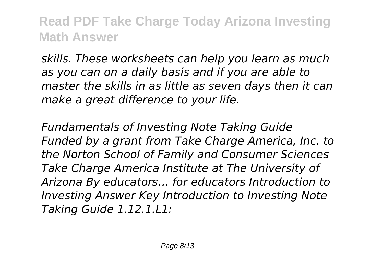*skills. These worksheets can help you learn as much as you can on a daily basis and if you are able to master the skills in as little as seven days then it can make a great difference to your life.*

*Fundamentals of Investing Note Taking Guide Funded by a grant from Take Charge America, Inc. to the Norton School of Family and Consumer Sciences Take Charge America Institute at The University of Arizona By educators… for educators Introduction to Investing Answer Key Introduction to Investing Note Taking Guide 1.12.1.L1:*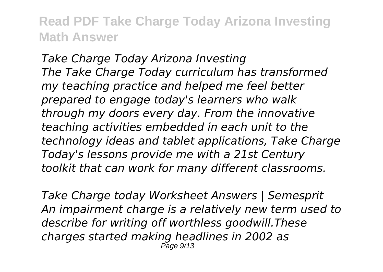*Take Charge Today Arizona Investing The Take Charge Today curriculum has transformed my teaching practice and helped me feel better prepared to engage today's learners who walk through my doors every day. From the innovative teaching activities embedded in each unit to the technology ideas and tablet applications, Take Charge Today's lessons provide me with a 21st Century toolkit that can work for many different classrooms.*

*Take Charge today Worksheet Answers | Semesprit An impairment charge is a relatively new term used to describe for writing off worthless goodwill.These charges started making headlines in 2002 as* Page 9/13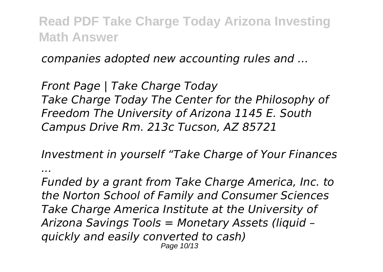*companies adopted new accounting rules and ...*

*Front Page | Take Charge Today Take Charge Today The Center for the Philosophy of Freedom The University of Arizona 1145 E. South Campus Drive Rm. 213c Tucson, AZ 85721*

*Investment in yourself "Take Charge of Your Finances*

*...*

*Funded by a grant from Take Charge America, Inc. to the Norton School of Family and Consumer Sciences Take Charge America Institute at the University of Arizona Savings Tools = Monetary Assets (liquid – quickly and easily converted to cash)* Page 10/13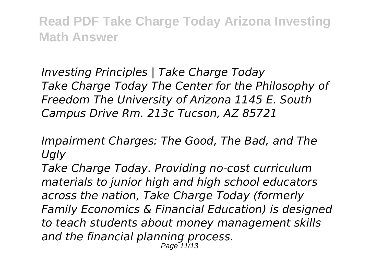*Investing Principles | Take Charge Today Take Charge Today The Center for the Philosophy of Freedom The University of Arizona 1145 E. South Campus Drive Rm. 213c Tucson, AZ 85721*

*Impairment Charges: The Good, The Bad, and The Ugly*

*Take Charge Today. Providing no-cost curriculum materials to junior high and high school educators across the nation, Take Charge Today (formerly Family Economics & Financial Education) is designed to teach students about money management skills and the financial planning process.* Page 11/13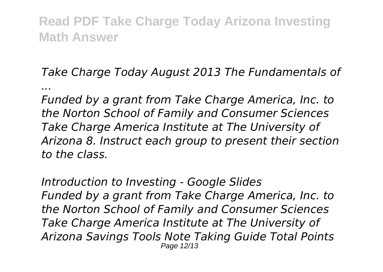*Take Charge Today August 2013 The Fundamentals of ...*

*Funded by a grant from Take Charge America, Inc. to the Norton School of Family and Consumer Sciences Take Charge America Institute at The University of Arizona 8. Instruct each group to present their section to the class.*

*Introduction to Investing - Google Slides Funded by a grant from Take Charge America, Inc. to the Norton School of Family and Consumer Sciences Take Charge America Institute at The University of Arizona Savings Tools Note Taking Guide Total Points* Page 12/13